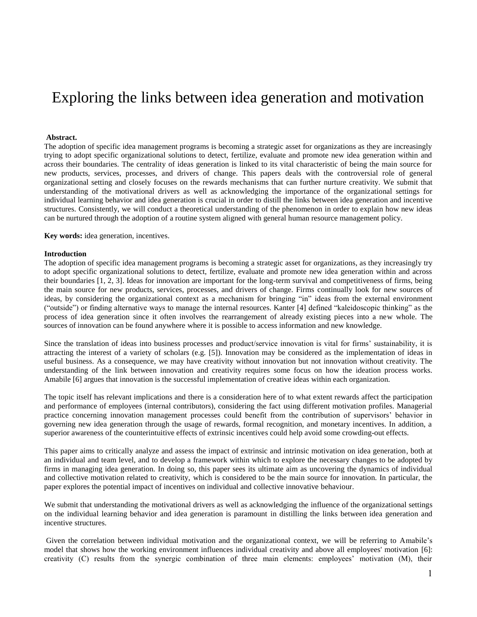# Exploring the links between idea generation and motivation

#### **Abstract.**

The adoption of specific idea management programs is becoming a strategic asset for organizations as they are increasingly trying to adopt specific organizational solutions to detect, fertilize, evaluate and promote new idea generation within and across their boundaries. The centrality of ideas generation is linked to its vital characteristic of being the main source for new products, services, processes, and drivers of change. This papers deals with the controversial role of general organizational setting and closely focuses on the rewards mechanisms that can further nurture creativity. We submit that understanding of the motivational drivers as well as acknowledging the importance of the organizational settings for individual learning behavior and idea generation is crucial in order to distill the links between idea generation and incentive structures. Consistently, we will conduct a theoretical understanding of the phenomenon in order to explain how new ideas can be nurtured through the adoption of a routine system aligned with general human resource management policy.

**Key words:** idea generation, incentives.

#### **Introduction**

The adoption of specific idea management programs is becoming a strategic asset for organizations, as they increasingly try to adopt specific organizational solutions to detect, fertilize, evaluate and promote new idea generation within and across their boundaries [1, 2, 3]. Ideas for innovation are important for the long-term survival and competitiveness of firms, being the main source for new products, services, processes, and drivers of change. Firms continually look for new sources of ideas, by considering the organizational context as a mechanism for bringing "in" ideas from the external environment ("outside") or finding alternative ways to manage the internal resources. Kanter [4] defined "kaleidoscopic thinking" as the process of idea generation since it often involves the rearrangement of already existing pieces into a new whole. The sources of innovation can be found anywhere where it is possible to access information and new knowledge.

Since the translation of ideas into business processes and product/service innovation is vital for firms' sustainability, it is attracting the interest of a variety of scholars (e.g. [5]). Innovation may be considered as the implementation of ideas in useful business. As a consequence, we may have creativity without innovation but not innovation without creativity. The understanding of the link between innovation and creativity requires some focus on how the ideation process works. Amabile [6] argues that innovation is the successful implementation of creative ideas within each organization.

The topic itself has relevant implications and there is a consideration here of to what extent rewards affect the participation and performance of employees (internal contributors), considering the fact using different motivation profiles. Managerial practice concerning innovation management processes could benefit from the contribution of supervisors' behavior in governing new idea generation through the usage of rewards, formal recognition, and monetary incentives. In addition, a superior awareness of the counterintuitive effects of extrinsic incentives could help avoid some crowding-out effects.

This paper aims to critically analyze and assess the impact of extrinsic and intrinsic motivation on idea generation, both at an individual and team level, and to develop a framework within which to explore the necessary changes to be adopted by firms in managing idea generation. In doing so, this paper sees its ultimate aim as uncovering the dynamics of individual and collective motivation related to creativity, which is considered to be the main source for innovation. In particular, the paper explores the potential impact of incentives on individual and collective innovative behaviour.

We submit that understanding the motivational drivers as well as acknowledging the influence of the organizational settings on the individual learning behavior and idea generation is paramount in distilling the links between idea generation and incentive structures.

Given the correlation between individual motivation and the organizational context, we will be referring to Amabile's model that shows how the working environment influences individual creativity and above all employees' motivation [6]: creativity (C) results from the synergic combination of three main elements: employees' motivation (M), their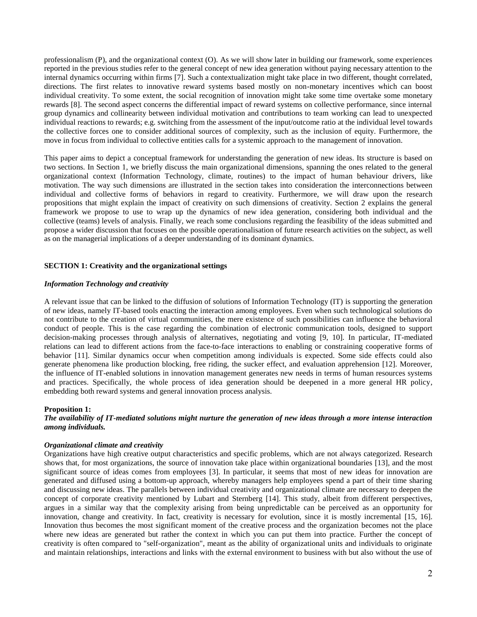professionalism (P), and the organizational context (O). As we will show later in building our framework, some experiences reported in the previous studies refer to the general concept of new idea generation without paying necessary attention to the internal dynamics occurring within firms [7]. Such a contextualization might take place in two different, thought correlated, directions. The first relates to innovative reward systems based mostly on non-monetary incentives which can boost individual creativity. To some extent, the social recognition of innovation might take some time overtake some monetary rewards [8]. The second aspect concerns the differential impact of reward systems on collective performance, since internal group dynamics and collinearity between individual motivation and contributions to team working can lead to unexpected individual reactions to rewards; e.g. switching from the assessment of the input/outcome ratio at the individual level towards the collective forces one to consider additional sources of complexity, such as the inclusion of equity. Furthermore, the move in focus from individual to collective entities calls for a systemic approach to the management of innovation.

This paper aims to depict a conceptual framework for understanding the generation of new ideas. Its structure is based on two sections. In Section 1, we briefly discuss the main organizational dimensions, spanning the ones related to the general organizational context (Information Technology, climate, routines) to the impact of human behaviour drivers, like motivation. The way such dimensions are illustrated in the section takes into consideration the interconnections between individual and collective forms of behaviors in regard to creativity. Furthermore, we will draw upon the research propositions that might explain the impact of creativity on such dimensions of creativity. Section 2 explains the general framework we propose to use to wrap up the dynamics of new idea generation, considering both individual and the collective (teams) levels of analysis. Finally, we reach some conclusions regarding the feasibility of the ideas submitted and propose a wider discussion that focuses on the possible operationalisation of future research activities on the subject, as well as on the managerial implications of a deeper understanding of its dominant dynamics.

#### **SECTION 1: Creativity and the organizational settings**

#### *Information Technology and creativity*

A relevant issue that can be linked to the diffusion of solutions of Information Technology (IT) is supporting the generation of new ideas, namely IT-based tools enacting the interaction among employees. Even when such technological solutions do not contribute to the creation of virtual communities, the mere existence of such possibilities can influence the behavioral conduct of people. This is the case regarding the combination of electronic communication tools, designed to support decision-making processes through analysis of alternatives, negotiating and voting [9, 10]. In particular, IT-mediated relations can lead to different actions from the face-to-face interactions to enabling or constraining cooperative forms of behavior [11]. Similar dynamics occur when competition among individuals is expected. Some side effects could also generate phenomena like production blocking, free riding, the sucker effect, and evaluation apprehension [12]. Moreover, the influence of IT-enabled solutions in innovation management generates new needs in terms of human resources systems and practices. Specifically, the whole process of idea generation should be deepened in a more general HR policy, embedding both reward systems and general innovation process analysis.

#### **Proposition 1:**

*The availability of IT-mediated solutions might nurture the generation of new ideas through a more intense interaction among individuals.* 

#### *Organizational climate and creativity*

Organizations have high creative output characteristics and specific problems, which are not always categorized. Research shows that, for most organizations, the source of innovation take place within organizational boundaries [13], and the most significant source of ideas comes from employees [3]. In particular, it seems that most of new ideas for innovation are generated and diffused using a bottom-up approach, whereby managers help employees spend a part of their time sharing and discussing new ideas. The parallels between individual creativity and organizational climate are necessary to deepen the concept of corporate creativity mentioned by Lubart and Sternberg [14]. This study, albeit from different perspectives, argues in a similar way that the complexity arising from being unpredictable can be perceived as an opportunity for innovation, change and creativity. In fact, creativity is necessary for evolution, since it is mostly incremental [15, 16]. Innovation thus becomes the most significant moment of the creative process and the organization becomes not the place where new ideas are generated but rather the context in which you can put them into practice. Further the concept of creativity is often compared to "self-organization", meant as the ability of organizational units and individuals to originate and maintain relationships, interactions and links with the external environment to business with but also without the use of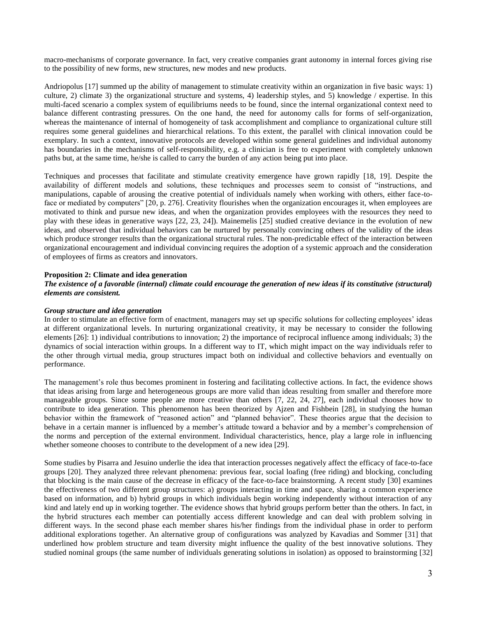macro-mechanisms of corporate governance. In fact, very creative companies grant autonomy in internal forces giving rise to the possibility of new forms, new structures, new modes and new products.

Andriopolus [17] summed up the ability of management to stimulate creativity within an organization in five basic ways: 1) culture, 2) climate 3) the organizational structure and systems, 4) leadership styles, and 5) knowledge / expertise. In this multi-faced scenario a complex system of equilibriums needs to be found, since the internal organizational context need to balance different contrasting pressures. On the one hand, the need for autonomy calls for forms of self-organization, whereas the maintenance of internal of homogeneity of task accomplishment and compliance to organizational culture still requires some general guidelines and hierarchical relations. To this extent, the parallel with clinical innovation could be exemplary. In such a context, innovative protocols are developed within some general guidelines and individual autonomy has boundaries in the mechanisms of self-responsibility, e.g. a clinician is free to experiment with completely unknown paths but, at the same time, he/she is called to carry the burden of any action being put into place.

Techniques and processes that facilitate and stimulate creativity emergence have grown rapidly [18, 19]. Despite the availability of different models and solutions, these techniques and processes seem to consist of "instructions, and manipulations, capable of arousing the creative potential of individuals namely when working with others, either face-toface or mediated by computers" [20, p. 276]. Creativity flourishes when the organization encourages it, when employees are motivated to think and pursue new ideas, and when the organization provides employees with the resources they need to play with these ideas in generative ways [22, 23, 24]). Mainemelis [25] studied creative deviance in the evolution of new ideas, and observed that individual behaviors can be nurtured by personally convincing others of the validity of the ideas which produce stronger results than the organizational structural rules. The non-predictable effect of the interaction between organizational encouragement and individual convincing requires the adoption of a systemic approach and the consideration of employees of firms as creators and innovators.

#### **Proposition 2: Climate and idea generation**

#### *The existence of a favorable (internal) climate could encourage the generation of new ideas if its constitutive (structural) elements are consistent.*

#### *Group structure and idea generation*

In order to stimulate an effective form of enactment, managers may set up specific solutions for collecting employees' ideas at different organizational levels. In nurturing organizational creativity, it may be necessary to consider the following elements [26]: 1) individual contributions to innovation; 2) the importance of reciprocal influence among individuals; 3) the dynamics of social interaction within groups. In a different way to IT, which might impact on the way individuals refer to the other through virtual media, group structures impact both on individual and collective behaviors and eventually on performance.

The management's role thus becomes prominent in fostering and facilitating collective actions. In fact, the evidence shows that ideas arising from large and heterogeneous groups are more valid than ideas resulting from smaller and therefore more manageable groups. Since some people are more creative than others [7, 22, 24, 27], each individual chooses how to contribute to idea generation. This phenomenon has been theorized by Ajzen and Fishbein [28], in studying the human behavior within the framework of "reasoned action" and "planned behavior". These theories argue that the decision to behave in a certain manner is influenced by a member's attitude toward a behavior and by a member's comprehension of the norms and perception of the external environment. Individual characteristics, hence, play a large role in influencing whether someone chooses to contribute to the development of a new idea [29].

Some studies by Pisarra and Jesuino underlie the idea that interaction processes negatively affect the efficacy of face-to-face groups [20]. They analyzed three relevant phenomena: previous fear, social loafing (free riding) and blocking, concluding that blocking is the main cause of the decrease in efficacy of the face-to-face brainstorming. A recent study [30] examines the effectiveness of two different group structures: a) groups interacting in time and space, sharing a common experience based on information, and b) hybrid groups in which individuals begin working independently without interaction of any kind and lately end up in working together. The evidence shows that hybrid groups perform better than the others. In fact, in the hybrid structures each member can potentially access different knowledge and can deal with problem solving in different ways. In the second phase each member shares his/her findings from the individual phase in order to perform additional explorations together. An alternative group of configurations was analyzed by Kavadias and Sommer [31] that underlined how problem structure and team diversity might influence the quality of the best innovative solutions. They studied nominal groups (the same number of individuals generating solutions in isolation) as opposed to brainstorming [32]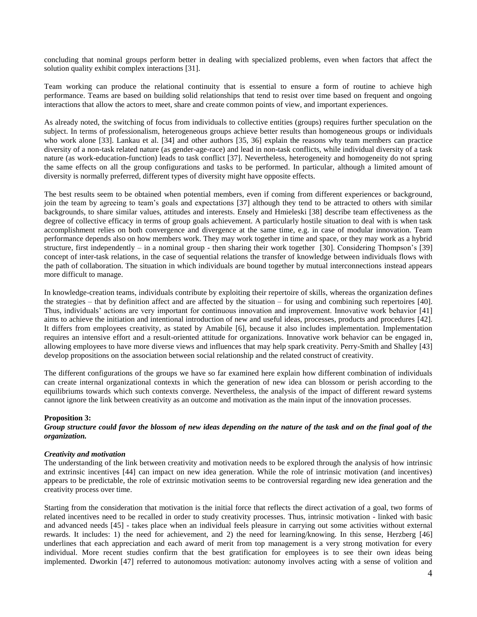concluding that nominal groups perform better in dealing with specialized problems, even when factors that affect the solution quality exhibit complex interactions [31].

Team working can produce the relational continuity that is essential to ensure a form of routine to achieve high performance. Teams are based on building solid relationships that tend to resist over time based on frequent and ongoing interactions that allow the actors to meet, share and create common points of view, and important experiences.

As already noted, the switching of focus from individuals to collective entities (groups) requires further speculation on the subject. In terms of professionalism, heterogeneous groups achieve better results than homogeneous groups or individuals who work alone [33]. Lankau et al. [34] and other authors [35, 36] explain the reasons why team members can practice diversity of a non-task related nature (as gender-age-race) and lead in non-task conflicts, while individual diversity of a task nature (as work-education-function) leads to task conflict [37]. Nevertheless, heterogeneity and homogeneity do not spring the same effects on all the group configurations and tasks to be performed. In particular, although a limited amount of diversity is normally preferred, different types of diversity might have opposite effects.

The best results seem to be obtained when potential members, even if coming from different experiences or background, join the team by agreeing to team's goals and expectations [37] although they tend to be attracted to others with similar backgrounds, to share similar values, attitudes and interests. Ensely and Hmieleski [38] describe team effectiveness as the degree of collective efficacy in terms of group goals achievement. A particularly hostile situation to deal with is when task accomplishment relies on both convergence and divergence at the same time, e.g. in case of modular innovation. Team performance depends also on how members work. They may work together in time and space, or they may work as a hybrid structure, first independently – in a nominal group - then sharing their work together [30]. Considering Thompson's [39] concept of inter-task relations, in the case of sequential relations the transfer of knowledge between individuals flows with the path of collaboration. The situation in which individuals are bound together by mutual interconnections instead appears more difficult to manage.

In knowledge-creation teams, individuals contribute by exploiting their repertoire of skills, whereas the organization defines the strategies – that by definition affect and are affected by the situation – for using and combining such repertoires [40]. Thus, individuals' actions are very important for continuous innovation and improvement. Innovative work behavior [41] aims to achieve the initiation and intentional introduction of new and useful ideas, processes, products and procedures [42]. It differs from employees creativity, as stated by Amabile [6], because it also includes implementation. Implementation requires an intensive effort and a result-oriented attitude for organizations. Innovative work behavior can be engaged in, allowing employees to have more diverse views and influences that may help spark creativity. Perry-Smith and Shalley [43] develop propositions on the association between social relationship and the related construct of creativity.

The different configurations of the groups we have so far examined here explain how different combination of individuals can create internal organizational contexts in which the generation of new idea can blossom or perish according to the equilibriums towards which such contexts converge. Nevertheless, the analysis of the impact of different reward systems cannot ignore the link between creativity as an outcome and motivation as the main input of the innovation processes.

## **Proposition 3:**

*Group structure could favor the blossom of new ideas depending on the nature of the task and on the final goal of the organization.* 

#### *Creativity and motivation*

The understanding of the link between creativity and motivation needs to be explored through the analysis of how intrinsic and extrinsic incentives [44] can impact on new idea generation. While the role of intrinsic motivation (and incentives) appears to be predictable, the role of extrinsic motivation seems to be controversial regarding new idea generation and the creativity process over time.

Starting from the consideration that motivation is the initial force that reflects the direct activation of a goal, two forms of related incentives need to be recalled in order to study creativity processes. Thus, intrinsic motivation - linked with basic and advanced needs [45] - takes place when an individual feels pleasure in carrying out some activities without external rewards. It includes: 1) the need for achievement, and 2) the need for learning/knowing. In this sense, Herzberg [46] underlines that each appreciation and each award of merit from top management is a very strong motivation for every individual. More recent studies confirm that the best gratification for employees is to see their own ideas being implemented. Dworkin [47] referred to autonomous motivation: autonomy involves acting with a sense of volition and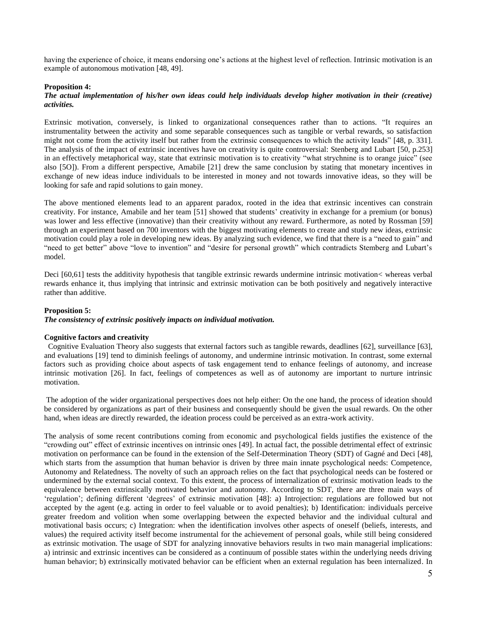having the experience of choice, it means endorsing one's actions at the highest level of reflection. Intrinsic motivation is an example of autonomous motivation [48, 49].

#### **Proposition 4:**

#### *The actual implementation of his/her own ideas could help individuals develop higher motivation in their (creative) activities.*

Extrinsic motivation, conversely, is linked to organizational consequences rather than to actions. "It requires an instrumentality between the activity and some separable consequences such as tangible or verbal rewards, so satisfaction might not come from the activity itself but rather from the extrinsic consequences to which the activity leads" [48, p. 331]. The analysis of the impact of extrinsic incentives have on creativity is quite controversial: Stenberg and Lubart [50, p.253] in an effectively metaphorical way, state that extrinsic motivation is to creativity "what strychnine is to orange juice" (see also [5O]). From a different perspective, Amabile [21] drew the same conclusion by stating that monetary incentives in exchange of new ideas induce individuals to be interested in money and not towards innovative ideas, so they will be looking for safe and rapid solutions to gain money.

The above mentioned elements lead to an apparent paradox, rooted in the idea that extrinsic incentives can constrain creativity. For instance, Amabile and her team [51] showed that students' creativity in exchange for a premium (or bonus) was lower and less effective (innovative) than their creativity without any reward. Furthermore, as noted by Rossman [59] through an experiment based on 700 inventors with the biggest motivating elements to create and study new ideas, extrinsic motivation could play a role in developing new ideas. By analyzing such evidence, we find that there is a "need to gain" and "need to get better" above "love to invention" and "desire for personal growth" which contradicts Stemberg and Lubart's model.

Deci [60,61] tests the additivity hypothesis that tangible extrinsic rewards undermine intrinsic motivation< whereas verbal rewards enhance it, thus implying that intrinsic and extrinsic motivation can be both positively and negatively interactive rather than additive.

### **Proposition 5:**

#### *The consistency of extrinsic positively impacts on individual motivation.*

#### **Cognitive factors and creativity**

 Cognitive Evaluation Theory also suggests that external factors such as tangible rewards, deadlines [62], surveillance [63], and evaluations [19] tend to diminish feelings of autonomy, and undermine intrinsic motivation. In contrast, some external factors such as providing choice about aspects of task engagement tend to enhance feelings of autonomy, and increase intrinsic motivation [26]. In fact, feelings of competences as well as of autonomy are important to nurture intrinsic motivation.

The adoption of the wider organizational perspectives does not help either: On the one hand, the process of ideation should be considered by organizations as part of their business and consequently should be given the usual rewards. On the other hand, when ideas are directly rewarded, the ideation process could be perceived as an extra-work activity.

The analysis of some recent contributions coming from economic and psychological fields justifies the existence of the "crowding out" effect of extrinsic incentives on intrinsic ones [49]. In actual fact, the possible detrimental effect of extrinsic motivation on performance can be found in the extension of the Self-Determination Theory (SDT) of Gagné and Deci [48], which starts from the assumption that human behavior is driven by three main innate psychological needs: Competence, Autonomy and Relatedness. The novelty of such an approach relies on the fact that psychological needs can be fostered or undermined by the external social context. To this extent, the process of internalization of extrinsic motivation leads to the equivalence between extrinsically motivated behavior and autonomy. According to SDT, there are three main ways of 'regulation'; defining different 'degrees' of extrinsic motivation [48]: a) Introjection: regulations are followed but not accepted by the agent (e.g. acting in order to feel valuable or to avoid penalties); b) Identification: individuals perceive greater freedom and volition when some overlapping between the expected behavior and the individual cultural and motivational basis occurs; c) Integration: when the identification involves other aspects of oneself (beliefs, interests, and values) the required activity itself become instrumental for the achievement of personal goals, while still being considered as extrinsic motivation. The usage of SDT for analyzing innovative behaviors results in two main managerial implications: a) intrinsic and extrinsic incentives can be considered as a continuum of possible states within the underlying needs driving human behavior; b) extrinsically motivated behavior can be efficient when an external regulation has been internalized. In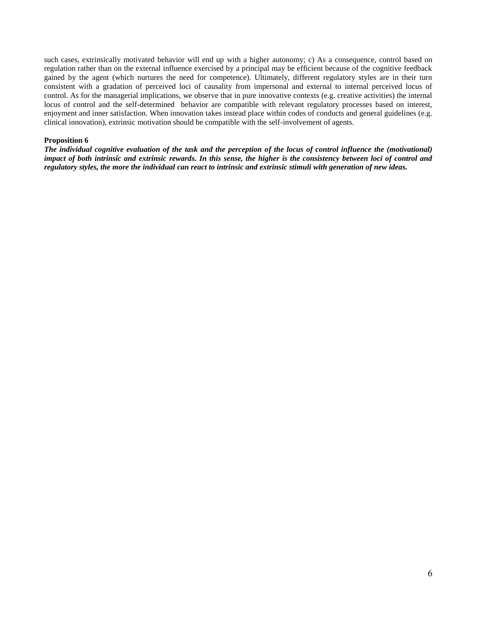such cases, extrinsically motivated behavior will end up with a higher autonomy; c) As a consequence, control based on regulation rather than on the external influence exercised by a principal may be efficient because of the cognitive feedback gained by the agent (which nurtures the need for competence). Ultimately, different regulatory styles are in their turn consistent with a gradation of perceived loci of causality from impersonal and external to internal perceived locus of control. As for the managerial implications, we observe that in pure innovative contexts (e.g. creative activities) the internal locus of control and the self-determined behavior are compatible with relevant regulatory processes based on interest, enjoyment and inner satisfaction. When innovation takes instead place within codes of conducts and general guidelines (e.g. clinical innovation), extrinsic motivation should be compatible with the self-involvement of agents.

#### **Proposition 6**

*The individual cognitive evaluation of the task and the perception of the locus of control influence the (motivational) impact of both intrinsic and extrinsic rewards. In this sense, the higher is the consistency between loci of control and regulatory styles, the more the individual can react to intrinsic and extrinsic stimuli with generation of new ideas.*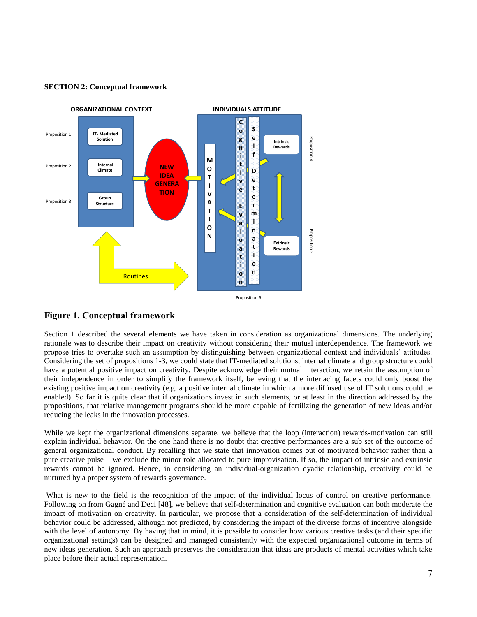

#### **SECTION 2: Conceptual framework**

# **Figure 1. Conceptual framework**

Section 1 described the several elements we have taken in consideration as organizational dimensions. The underlying rationale was to describe their impact on creativity without considering their mutual interdependence. The framework we propose tries to overtake such an assumption by distinguishing between organizational context and individuals' attitudes. Considering the set of propositions 1-3, we could state that IT-mediated solutions, internal climate and group structure could have a potential positive impact on creativity. Despite acknowledge their mutual interaction, we retain the assumption of their independence in order to simplify the framework itself, believing that the interlacing facets could only boost the existing positive impact on creativity (e.g. a positive internal climate in which a more diffused use of IT solutions could be enabled). So far it is quite clear that if organizations invest in such elements, or at least in the direction addressed by the propositions, that relative management programs should be more capable of fertilizing the generation of new ideas and/or reducing the leaks in the innovation processes.

While we kept the organizational dimensions separate, we believe that the loop (interaction) rewards-motivation can still explain individual behavior. On the one hand there is no doubt that creative performances are a sub set of the outcome of general organizational conduct. By recalling that we state that innovation comes out of motivated behavior rather than a pure creative pulse – we exclude the minor role allocated to pure improvisation. If so, the impact of intrinsic and extrinsic rewards cannot be ignored. Hence, in considering an individual-organization dyadic relationship, creativity could be nurtured by a proper system of rewards governance.

What is new to the field is the recognition of the impact of the individual locus of control on creative performance. Following on from Gagné and Deci [48], we believe that self-determination and cognitive evaluation can both moderate the impact of motivation on creativity. In particular, we propose that a consideration of the self-determination of individual behavior could be addressed, although not predicted, by considering the impact of the diverse forms of incentive alongside with the level of autonomy. By having that in mind, it is possible to consider how various creative tasks (and their specific organizational settings) can be designed and managed consistently with the expected organizational outcome in terms of new ideas generation. Such an approach preserves the consideration that ideas are products of mental activities which take place before their actual representation.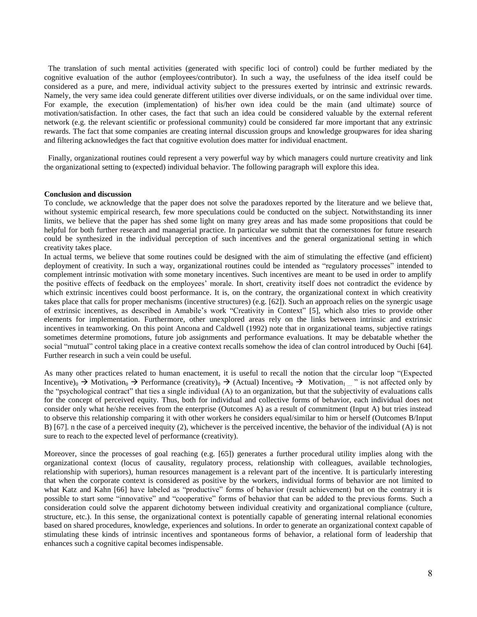The translation of such mental activities (generated with specific loci of control) could be further mediated by the cognitive evaluation of the author (employees/contributor). In such a way, the usefulness of the idea itself could be considered as a pure, and mere, individual activity subject to the pressures exerted by intrinsic and extrinsic rewards. Namely, the very same idea could generate different utilities over diverse individuals, or on the same individual over time. For example, the execution (implementation) of his/her own idea could be the main (and ultimate) source of motivation/satisfaction. In other cases, the fact that such an idea could be considered valuable by the external referent network (e.g. the relevant scientific or professional community) could be considered far more important that any extrinsic rewards. The fact that some companies are creating internal discussion groups and knowledge groupwares for idea sharing and filtering acknowledges the fact that cognitive evolution does matter for individual enactment.

 Finally, organizational routines could represent a very powerful way by which managers could nurture creativity and link the organizational setting to (expected) individual behavior. The following paragraph will explore this idea.

#### **Conclusion and discussion**

To conclude, we acknowledge that the paper does not solve the paradoxes reported by the literature and we believe that, without systemic empirical research, few more speculations could be conducted on the subject. Notwithstanding its inner limits, we believe that the paper has shed some light on many grey areas and has made some propositions that could be helpful for both further research and managerial practice. In particular we submit that the cornerstones for future research could be synthesized in the individual perception of such incentives and the general organizational setting in which creativity takes place.

In actual terms, we believe that some routines could be designed with the aim of stimulating the effective (and efficient) deployment of creativity. In such a way, organizational routines could be intended as "regulatory processes" intended to complement intrinsic motivation with some monetary incentives. Such incentives are meant to be used in order to amplify the positive effects of feedback on the employees' morale. In short, creativity itself does not contradict the evidence by which extrinsic incentives could boost performance. It is, on the contrary, the organizational context in which creativity takes place that calls for proper mechanisms (incentive structures) (e.g. [62]). Such an approach relies on the synergic usage of extrinsic incentives, as described in Amabile's work "Creativity in Context" [5], which also tries to provide other elements for implementation. Furthermore, other unexplored areas rely on the links between intrinsic and extrinsic incentives in teamworking. On this point Ancona and Caldwell (1992) note that in organizational teams, subjective ratings sometimes determine promotions, future job assignments and performance evaluations. It may be debatable whether the social "mutual" control taking place in a creative context recalls somehow the idea of clan control introduced by Ouchi [64]. Further research in such a vein could be useful.

As many other practices related to human enactement, it is useful to recall the notion that the circular loop "(Expected Incentive)<sub>0</sub>  $\rightarrow$  Motivation<sub>0</sub>  $\rightarrow$  Performance (creativity)<sub>0</sub>  $\rightarrow$  (Actual) Incentive<sub>0</sub>  $\rightarrow$  Motivation<sub>1</sub> ... " is not affected only by the "psychological contract" that ties a single individual (A) to an organization, but that the subjectivity of evaluations calls for the concept of perceived equity. Thus, both for individual and collective forms of behavior, each individual does not consider only what he/she receives from the enterprise (Outcomes A) as a result of commitment (Input A) but tries instead to observe this relationship comparing it with other workers he considers equal/similar to him or herself (Outcomes B/Input B) [67]. n the case of a perceived inequity (2), whichever is the perceived incentive, the behavior of the individual (A) is not sure to reach to the expected level of performance (creativity).

Moreover, since the processes of goal reaching (e.g. [65]) generates a further procedural utility implies along with the organizational context (locus of causality, regulatory process, relationship with colleagues, available technologies, relationship with superiors), human resources management is a relevant part of the incentive. It is particularly interesting that when the corporate context is considered as positive by the workers, individual forms of behavior are not limited to what Katz and Kahn [66] have labeled as "productive" forms of behavior (result achievement) but on the contrary it is possible to start some "innovative" and "cooperative" forms of behavior that can be added to the previous forms. Such a consideration could solve the apparent dichotomy between individual creativity and organizational compliance (culture, structure, etc.). In this sense, the organizational context is potentially capable of generating internal relational economies based on shared procedures, knowledge, experiences and solutions. In order to generate an organizational context capable of stimulating these kinds of intrinsic incentives and spontaneous forms of behavior, a relational form of leadership that enhances such a cognitive capital becomes indispensable.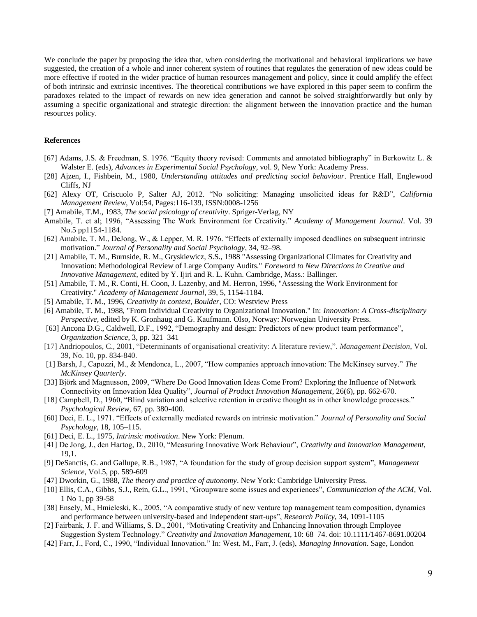We conclude the paper by proposing the idea that, when considering the motivational and behavioral implications we have suggested, the creation of a whole and inner coherent system of routines that regulates the generation of new ideas could be more effective if rooted in the wider practice of human resources management and policy, since it could amplify the effect of both intrinsic and extrinsic incentives. The theoretical contributions we have explored in this paper seem to confirm the paradoxes related to the impact of rewards on new idea generation and cannot be solved straightforwardly but only by assuming a specific organizational and strategic direction: the alignment between the innovation practice and the human resources policy.

### **References**

- [67] Adams, J.S. & Freedman, S. 1976. "Equity theory revised: Comments and annotated bibliography" in Berkowitz L. & Walster E. (eds), *Advances in Experimental Social Psychology*, vol. 9, New York: Academy Press.
- [28] Ajzen, I., Fishbein, M., 1980, *Understanding attitudes and predicting social behaviour*. Prentice Hall, Englewood Cliffs, NJ
- [62] Alexy OT, Criscuolo P, Salter AJ, 2012. "No soliciting: Managing unsolicited ideas for R&D", *California Management Review*, Vol:54, Pages:116-139, ISSN:0008-1256
- [7] Amabile, T.M., 1983, *The social psicology of creativity*. Spriger-Verlag, NY
- Amabile, T. et al; 1996, "Assessing The Work Environment for Creativity." *Academy of Management Journal*. Vol. 39 No.5 pp1154-1184.
- [62] Amabile, T. M., DeJong, W., & Lepper, M. R. 1976. "Effects of externally imposed deadlines on subsequent intrinsic motivation." *Journal of Personality and Social Psychology*, 34, 92–98.
- [21] Amabile, T. M., Burnside, R. M., Gryskiewicz, S.S., 1988 "Assessing Organizational Climates for Creativity and Innovation: Methodological Review of Large Company Audits." *Foreword to New Directions in Creative and Innovative Management*, edited by Y. Ijiri and R. L. Kuhn. Cambridge, Mass.: Ballinger.
- [51] Amabile, T. M., R. Conti, H. Coon, J. Lazenby, and M. Herron, 1996, "Assessing the Work Environment for Creativity." *Academy of Management Journal*, 39, 5, 1154-1184.
- [5] Amabile, T. M., 1996, *Creativity in context, Boulder*, CO: Westview Press
- [6] Amabile, T. M., 1988, "From Individual Creativity to Organizational Innovation." In: *Innovation: A Cross-disciplinary Perspective*, edited by K. Gronhaug and G. Kaufmann. Olso, Norway: Norwegian University Press.
- [63] Ancona D.G., Caldwell, D.F., 1992, "Demography and design: Predictors of new product team performance", *Organization Science*, 3, pp. 321–341
- [17] Andriopoulos, C., 2001, "Determinants of organisational creativity: A literature review,". *Management Decision*, Vol. 39, No. 10, pp. 834-840.
- [1] Barsh, J., Capozzi, M., & Mendonca, L., 2007, "How companies approach innovation: The McKinsey survey." *The McKinsey Quarterly*.
- [33] Björk and Magnusson, 2009, "Where Do Good Innovation Ideas Come From? Exploring the Influence of Network Connectivity on Innovation Idea Quality", *Journal of Product Innovation Management*, 26(6), pp. 662-670.
- [18] Campbell, D., 1960, "Blind variation and selective retention in creative thought as in other knowledge processes." *Psychological Review,* 67, pp. 380-400.
- [60] Deci, E. L., 1971. "Effects of externally mediated rewards on intrinsic motivation." *Journal of Personality and Social Psychology*, 18, 105–115.
- [61] Deci, E. L., 1975, *Intrinsic motivation*. New York: Plenum.
- [41] De Jong, J., den Hartog, D., 2010, "Measuring Innovative Work Behaviour", *Creativity and Innovation Management*, 19,1.
- [9] DeSanctis, G. and Gallupe, R.B., 1987, "A foundation for the study of group decision support system", *Management Science*, Vol.5, pp. 589-609
- [47] Dworkin, G., 1988, *The theory and practice of autonomy*. New York: Cambridge University Press.
- [10] Ellis, C.A., Gibbs, S.J., Rein, G.L., 1991, "Groupware some issues and experiences", *Communication of the ACM*, Vol. 1 No 1, pp 39-58
- [38] Ensely, M., Hmieleski, K., 2005, "A comparative study of new venture top management team composition, dynamics and performance between university-based and independent start-ups", *Research Policy*, 34, 1091-1105
- [2] Fairbank, J. F. and Williams, S. D., 2001, "Motivating Creativity and Enhancing Innovation through Employee Suggestion System Technology." *Creativity and Innovation Management*, 10: 68–74. doi: 10.1111/1467-8691.00204
- [42] Farr, J., Ford, C., 1990, "Individual Innovation." In: West, M., Farr, J. (eds), *Managing Innovation*. Sage, London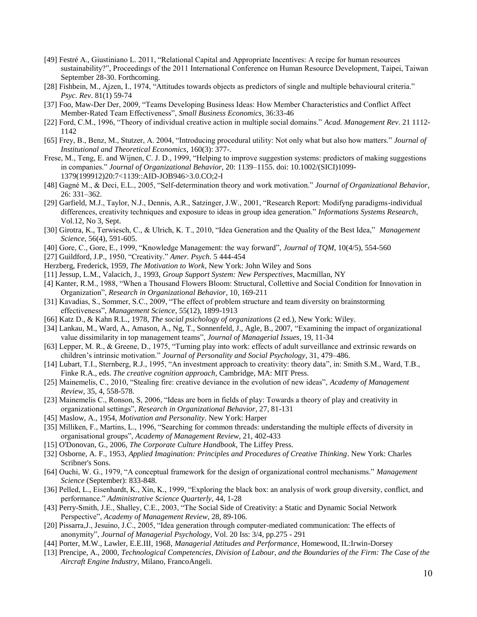- [49] Festré A., Giustiniano L. 2011, "Relational Capital and Appropriate Incentives: A recipe for human resources sustainability?", Proceedings of the 2011 International Conference on Human Resource Development, Taipei, Taiwan September 28-30. Forthcoming.
- [28] Fishbein, M., Ajzen, I., 1974, "Attitudes towards objects as predictors of single and multiple behavioural criteria." *Psyc. Rev*. 81(1) 59-74
- [37] Foo, Maw-Der Der, 2009, "Teams Developing Business Ideas: How Member Characteristics and Conflict Affect Member-Rated Team Effectiveness", *Small Business Economics*, 36:33-46
- [22] Ford, C.M., 1996, "Theory of individual creative action in multiple social domains." *Acad. Management Rev*. 21 1112- 1142
- [65] Frey, B., Benz, M., Stutzer, A. 2004, "Introducing procedural utility: Not only what but also how matters." *Journal of Institutional and Theoretical Economics*, 160(3): 377-.
- Frese, M., Teng, E. and Wijnen, C. J. D., 1999, "Helping to improve suggestion systems: predictors of making suggestions in companies." *Journal of Organizational Behavior,* 20: 1139–1155. doi: 10.1002/(SICI)1099- 1379(199912)20:7<1139::AID-JOB946>3.0.CO;2-I
- [48] Gagné M., & Deci, E.L., 2005, "Self-determination theory and work motivation." *Journal of Organizational Behavior*, 26: 331–362.
- [29] Garfield, M.J., Taylor, N.J., Dennis, A.R., Satzinger, J.W., 2001, "Research Report: Modifyng paradigms-individual differences, creativity techniques and exposure to ideas in group idea generation." *Informations Systems Research*, Vol.12, No 3, Sept.
- [30] Girotra, K., Terwiesch, C., & Ulrich, K. T., 2010, "Idea Generation and the Quality of the Best Idea," *Management Science*, 56(4), 591-605.
- [40] Gore, C., Gore, E., 1999, "Knowledge Management: the way forward", *Journal of TQM*, 10(4/5), 554-560
- [27] Guildford, J.P., 1950, "Creativity." *Amer. Psych*. 5 444-454
- Herzberg, Frederick, 1959, *The Motivation to Work*, New York: John Wiley and Sons
- [11] Jessup, L.M., Valacich, J., 1993, *Group Support System: New Perspectives*, Macmillan, NY
- [4] Kanter, R.M., 1988, "When a Thousand Flowers Bloom: Structural, Collettive and Social Condition for Innovation in Organization", *Research in Organizational Behavior*, 10, 169-211
- [31] Kavadias, S., Sommer, S.C., 2009, "The effect of problem structure and team diversity on brainstorming effectiveness", *Management Science*, 55(12), 1899-1913
- [66] Katz D., & Kahn R.L., 1978, *The social psichology of organizations* (2 ed.), New York: Wiley.
- [34] Lankau, M., Ward, A., Amason, A., Ng, T., Sonnenfeld, J., Agle, B., 2007, "Examining the impact of organizational value dissimilarity in top management teams", *Journal of Managerial Issues*, 19, 11-34
- [63] Lepper, M. R., & Greene, D., 1975, "Turning play into work: effects of adult surveillance and extrinsic rewards on children's intrinsic motivation." *Journal of Personality and Social Psychology*, 31, 479–486.
- [14] Lubart, T.I., Sternberg, R.J., 1995, "An investment approach to creativity: theory data", in: Smith S.M., Ward, T.B., Finke R.A., eds. *The creative cognition approach*, Cambridge, MA: MIT Press.
- [25] Mainemelis, C., 2010, "Stealing fire: creative deviance in the evolution of new ideas", *Academy of Management Review*, 35, 4, 558-578.
- [23] Mainemelis C., Ronson, S, 2006, "Ideas are born in fields of play: Towards a theory of play and creativity in organizational settings", *Research in Organizational Behavior*, 27, 81-131
- [45] Maslow, A., 1954, *Motivation and Personality*. New York: Harper
- [35] Milliken, F., Martins, L., 1996, "Searching for common threads: understanding the multiple effects of diversity in organisational groups", *Academy of Management Review*, 21, 402-433
- [15] O'Donovan, G., 2006, *The Corporate Culture Handbook*, The Liffey Press.
- [32] Osborne, A. F., 1953, *Applied Imagination: Principles and Procedures of Creative Thinking*. New York: Charles Scribner's Sons.
- [64] Ouchi, W. G., 1979, "A conceptual framework for the design of organizational control mechanisms." *Management Science* (September): 833-848.
- [36] Pelled, L., Eisenhardt, K., Xin, K., 1999, "Exploring the black box: an analysis of work group diversity, conflict, and performance." *Administrative Science Quarterly*, 44, 1-28
- [43] Perry-Smith, J.E., Shalley, C.E., 2003, "The Social Side of Creativity: a Static and Dynamic Social Network Perspective", *Academy of Management Review*, 28, 89-106.
- [20] Pissarra,J., Jesuino, J.C., 2005, "Idea generation through computer-mediated communication: The effects of anonymity", *Journal of Managerial Psychology*, Vol. 20 Iss: 3/4, pp.275 - 291
- [44] Porter, M.W., Lawler, E.E.III, 1968, *Managerial Attitudes and Performance*, Homewood, IL:Irwin-Dorsey
- [13] Prencipe, A., 2000, *Technological Competencies, Division of Labour, and the Boundaries of the Firm: The Case of the Aircraft Engine Industry*, Milano, FrancoAngeli.